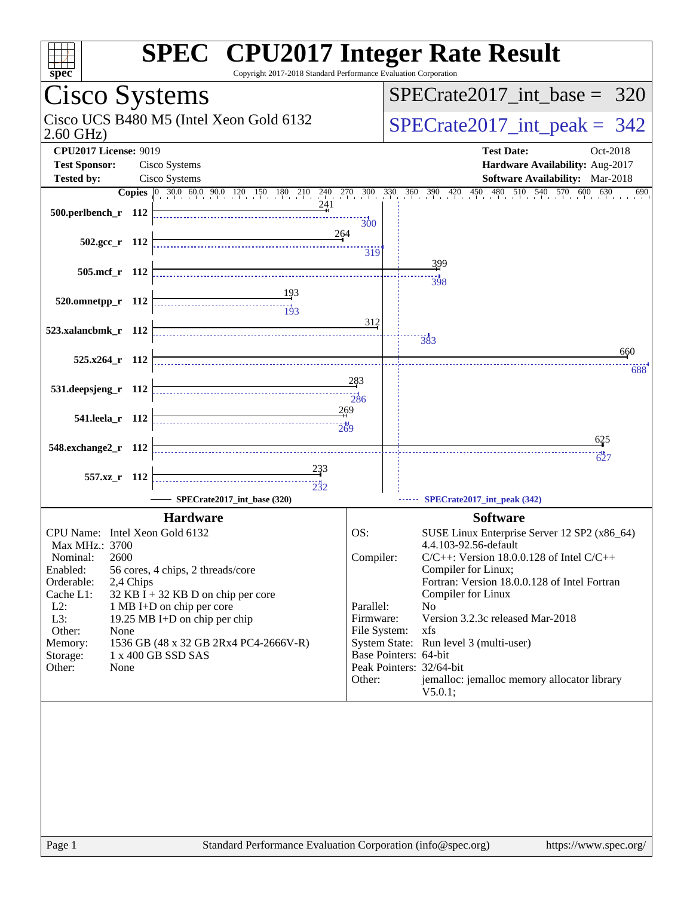| <b>SPEC<sup>®</sup> CPU2017 Integer Rate Result</b><br>Copyright 2017-2018 Standard Performance Evaluation Corporation<br>spec <sup>®</sup> |                                                   |                                                                        |
|---------------------------------------------------------------------------------------------------------------------------------------------|---------------------------------------------------|------------------------------------------------------------------------|
| Cisco Systems                                                                                                                               |                                                   | $SPECrate2017\_int\_base = 320$                                        |
| Cisco UCS B480 M5 (Intel Xeon Gold 6132<br>$2.60$ GHz)                                                                                      |                                                   | $SPECrate2017\_int\_peak = 342$                                        |
| <b>CPU2017 License: 9019</b><br>Cisco Systems<br><b>Test Sponsor:</b>                                                                       |                                                   | <b>Test Date:</b><br>Oct-2018<br>Hardware Availability: Aug-2017       |
| Cisco Systems<br><b>Tested by:</b>                                                                                                          |                                                   | Software Availability: Mar-2018<br>630<br>690                          |
| $500.$ perlbench r 112                                                                                                                      | 300                                               |                                                                        |
| 264<br>502.gcc_r 112                                                                                                                        | 319                                               |                                                                        |
| 505.mcf r 112                                                                                                                               |                                                   | 399<br>398                                                             |
| 520.omnetpp_r 112<br>----------------------------------<br>$\frac{11}{193}$                                                                 | 312                                               |                                                                        |
| 523.xalancbmk_r 112                                                                                                                         | 383                                               |                                                                        |
| $525.x264$ r 112                                                                                                                            |                                                   | 660                                                                    |
|                                                                                                                                             | 283                                               | 688                                                                    |
| 531.deepsjeng_r 112                                                                                                                         | 286                                               |                                                                        |
| 269<br>541.leela r 112                                                                                                                      |                                                   |                                                                        |
| 548.exchange2_r 112                                                                                                                         |                                                   | 625                                                                    |
| 233                                                                                                                                         |                                                   | 627                                                                    |
| 557.xz_r 112<br>$\overbrace{ \begin{array}{c} \vdots \\ \vdots \\ \vdots \\ \vdots \\ \vdots \end{array}}$<br>SPECrate2017_int_base (320)   |                                                   | SPECrate2017_int_peak (342)                                            |
| <b>Hardware</b>                                                                                                                             |                                                   | <b>Software</b>                                                        |
| CPU Name: Intel Xeon Gold 6132                                                                                                              | OS:                                               | SUSE Linux Enterprise Server 12 SP2 (x86_64)                           |
| Max MHz.: 3700<br>2600<br>Nominal:                                                                                                          | Compiler:                                         | 4.4.103-92.56-default<br>$C/C++$ : Version 18.0.0.128 of Intel $C/C++$ |
| Enabled:<br>56 cores, 4 chips, 2 threads/core                                                                                               |                                                   | Compiler for Linux;                                                    |
| Orderable:<br>2,4 Chips<br>$32$ KB I + 32 KB D on chip per core<br>Cache L1:                                                                |                                                   | Fortran: Version 18.0.0.128 of Intel Fortran<br>Compiler for Linux     |
| $L2$ :<br>1 MB I+D on chip per core                                                                                                         | Parallel:<br>No                                   |                                                                        |
| L3:<br>19.25 MB I+D on chip per chip<br>Other:<br>None                                                                                      | Firmware:<br>File System:<br>xfs                  | Version 3.2.3c released Mar-2018                                       |
| 1536 GB (48 x 32 GB 2Rx4 PC4-2666V-R)<br>Memory:                                                                                            |                                                   | System State: Run level 3 (multi-user)                                 |
| 1 x 400 GB SSD SAS<br>Storage:<br>Other:<br>None                                                                                            | Base Pointers: 64-bit<br>Peak Pointers: 32/64-bit |                                                                        |
|                                                                                                                                             | Other:                                            | jemalloc: jemalloc memory allocator library<br>V5.0.1;                 |
|                                                                                                                                             |                                                   |                                                                        |
|                                                                                                                                             |                                                   |                                                                        |
|                                                                                                                                             |                                                   |                                                                        |
|                                                                                                                                             |                                                   |                                                                        |
|                                                                                                                                             |                                                   |                                                                        |
|                                                                                                                                             |                                                   |                                                                        |
|                                                                                                                                             |                                                   |                                                                        |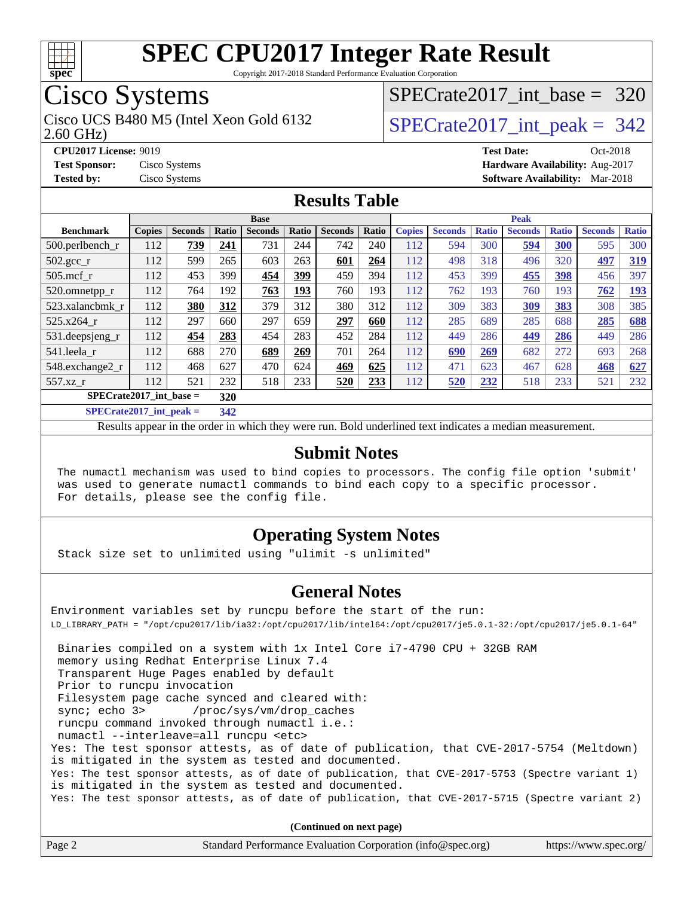

Copyright 2017-2018 Standard Performance Evaluation Corporation

# Cisco Systems<br>Cisco UCS B480 M5 (Intel Xeon Gold 6132

2.60 GHz)

[SPECrate2017\\_int\\_base =](http://www.spec.org/auto/cpu2017/Docs/result-fields.html#SPECrate2017intbase) 320

#### $SPECTate 2017\_int\_peak = 342$

**[CPU2017 License:](http://www.spec.org/auto/cpu2017/Docs/result-fields.html#CPU2017License)** 9019 **[Test Date:](http://www.spec.org/auto/cpu2017/Docs/result-fields.html#TestDate)** Oct-2018 **[Test Sponsor:](http://www.spec.org/auto/cpu2017/Docs/result-fields.html#TestSponsor)** Cisco Systems **[Hardware Availability:](http://www.spec.org/auto/cpu2017/Docs/result-fields.html#HardwareAvailability)** Aug-2017 **[Tested by:](http://www.spec.org/auto/cpu2017/Docs/result-fields.html#Testedby)** Cisco Systems **[Software Availability:](http://www.spec.org/auto/cpu2017/Docs/result-fields.html#SoftwareAvailability)** Mar-2018

#### **[Results Table](http://www.spec.org/auto/cpu2017/Docs/result-fields.html#ResultsTable)**

|                                  | <b>Base</b>   |                |       |                |            | <b>Peak</b>    |       |               |                |              |                |              |                |              |
|----------------------------------|---------------|----------------|-------|----------------|------------|----------------|-------|---------------|----------------|--------------|----------------|--------------|----------------|--------------|
| <b>Benchmark</b>                 | <b>Copies</b> | <b>Seconds</b> | Ratio | <b>Seconds</b> | Ratio      | <b>Seconds</b> | Ratio | <b>Copies</b> | <b>Seconds</b> | <b>Ratio</b> | <b>Seconds</b> | <b>Ratio</b> | <b>Seconds</b> | <b>Ratio</b> |
| 500.perlbench_r                  | 112           | 739            | 241   | 731            | 244        | 742            | 240   | 112           | 594            | 300          | 594            | 300          | 595            | 300          |
| $502.\text{sec}$                 | 112           | 599            | 265   | 603            | 263        | 601            | 264   | 112           | 498            | 318          | 496            | 320          | 497            | 319          |
| $505$ .mcf r                     | 112           | 453            | 399   | 454            | 399        | 459            | 394   | 112           | 453            | 399          | 455            | 398          | 456            | 397          |
| 520.omnetpp_r                    | 112           | 764            | 192   | 763            | <u>193</u> | 760            | 193   | 112           | 762            | 193          | 760            | 193          | 762            | <u>193</u>   |
| 523.xalancbmk_r                  | 112           | 380            | 312   | 379            | 312        | 380            | 312   | 112           | 309            | 383          | 309            | 383          | 308            | 385          |
| 525.x264 r                       | 112           | 297            | 660   | 297            | 659        | 297            | 660   | 112           | 285            | 689          | 285            | 688          | 285            | 688          |
| 531.deepsjeng_r                  | 112           | 454            | 283   | 454            | 283        | 452            | 284   | 112           | 449            | 286          | 449            | 286          | 449            | 286          |
| 541.leela r                      | 112           | 688            | 270   | 689            | 269        | 701            | 264   | 112           | 690            | 269          | 682            | 272          | 693            | 268          |
| 548.exchange2_r                  | 112           | 468            | 627   | 470            | 624        | 469            | 625   | 112           | 471            | 623          | 467            | 628          | 468            | 627          |
| 557.xz r                         | 112           | 521            | 232   | 518            | 233        | 520            | 233   | 112           | 520            | 232          | 518            | 233          | 521            | 232          |
| $SPECrate2017$ int base =<br>320 |               |                |       |                |            |                |       |               |                |              |                |              |                |              |
| $CDDC_{11}$ $4.2017$ $1.4$ $1.1$ |               |                | 240   |                |            |                |       |               |                |              |                |              |                |              |

**[SPECrate2017\\_int\\_peak =](http://www.spec.org/auto/cpu2017/Docs/result-fields.html#SPECrate2017intpeak) 342**

Results appear in the [order in which they were run](http://www.spec.org/auto/cpu2017/Docs/result-fields.html#RunOrder). Bold underlined text [indicates a median measurement](http://www.spec.org/auto/cpu2017/Docs/result-fields.html#Median).

#### **[Submit Notes](http://www.spec.org/auto/cpu2017/Docs/result-fields.html#SubmitNotes)**

 The numactl mechanism was used to bind copies to processors. The config file option 'submit' was used to generate numactl commands to bind each copy to a specific processor. For details, please see the config file.

#### **[Operating System Notes](http://www.spec.org/auto/cpu2017/Docs/result-fields.html#OperatingSystemNotes)**

Stack size set to unlimited using "ulimit -s unlimited"

#### **[General Notes](http://www.spec.org/auto/cpu2017/Docs/result-fields.html#GeneralNotes)**

Environment variables set by runcpu before the start of the run: LD\_LIBRARY\_PATH = "/opt/cpu2017/lib/ia32:/opt/cpu2017/lib/intel64:/opt/cpu2017/je5.0.1-32:/opt/cpu2017/je5.0.1-64" Binaries compiled on a system with 1x Intel Core i7-4790 CPU + 32GB RAM memory using Redhat Enterprise Linux 7.4 Transparent Huge Pages enabled by default Prior to runcpu invocation Filesystem page cache synced and cleared with: sync; echo 3> /proc/sys/vm/drop\_caches runcpu command invoked through numactl i.e.: numactl --interleave=all runcpu <etc> Yes: The test sponsor attests, as of date of publication, that CVE-2017-5754 (Meltdown) is mitigated in the system as tested and documented. Yes: The test sponsor attests, as of date of publication, that CVE-2017-5753 (Spectre variant 1) is mitigated in the system as tested and documented. Yes: The test sponsor attests, as of date of publication, that CVE-2017-5715 (Spectre variant 2) **(Continued on next page)**

| Page 2 | Standard Performance Evaluation Corporation (info@spec.org) | https://www.spec.org/ |
|--------|-------------------------------------------------------------|-----------------------|
|        |                                                             |                       |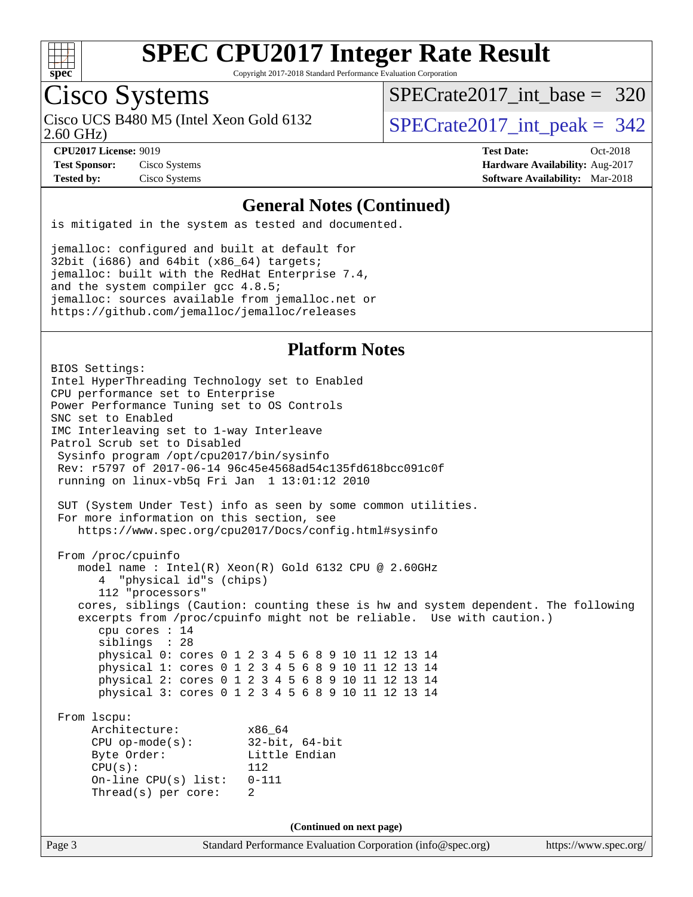

Copyright 2017-2018 Standard Performance Evaluation Corporation

### Cisco Systems

2.60 GHz) Cisco UCS B480 M5 (Intel Xeon Gold 6132  $\vert$  [SPECrate2017\\_int\\_peak =](http://www.spec.org/auto/cpu2017/Docs/result-fields.html#SPECrate2017intpeak) 342

[SPECrate2017\\_int\\_base =](http://www.spec.org/auto/cpu2017/Docs/result-fields.html#SPECrate2017intbase) 320

**[Test Sponsor:](http://www.spec.org/auto/cpu2017/Docs/result-fields.html#TestSponsor)** Cisco Systems **[Hardware Availability:](http://www.spec.org/auto/cpu2017/Docs/result-fields.html#HardwareAvailability)** Aug-2017

**[CPU2017 License:](http://www.spec.org/auto/cpu2017/Docs/result-fields.html#CPU2017License)** 9019 **[Test Date:](http://www.spec.org/auto/cpu2017/Docs/result-fields.html#TestDate)** Oct-2018 **[Tested by:](http://www.spec.org/auto/cpu2017/Docs/result-fields.html#Testedby)** Cisco Systems **[Software Availability:](http://www.spec.org/auto/cpu2017/Docs/result-fields.html#SoftwareAvailability)** Mar-2018

#### **[General Notes \(Continued\)](http://www.spec.org/auto/cpu2017/Docs/result-fields.html#GeneralNotes)**

is mitigated in the system as tested and documented.

jemalloc: configured and built at default for 32bit (i686) and 64bit (x86\_64) targets; jemalloc: built with the RedHat Enterprise 7.4, and the system compiler gcc 4.8.5; jemalloc: sources available from jemalloc.net or <https://github.com/jemalloc/jemalloc/releases>

#### **[Platform Notes](http://www.spec.org/auto/cpu2017/Docs/result-fields.html#PlatformNotes)**

Page 3 Standard Performance Evaluation Corporation [\(info@spec.org\)](mailto:info@spec.org) <https://www.spec.org/> BIOS Settings: Intel HyperThreading Technology set to Enabled CPU performance set to Enterprise Power Performance Tuning set to OS Controls SNC set to Enabled IMC Interleaving set to 1-way Interleave Patrol Scrub set to Disabled Sysinfo program /opt/cpu2017/bin/sysinfo Rev: r5797 of 2017-06-14 96c45e4568ad54c135fd618bcc091c0f running on linux-vb5q Fri Jan 1 13:01:12 2010 SUT (System Under Test) info as seen by some common utilities. For more information on this section, see <https://www.spec.org/cpu2017/Docs/config.html#sysinfo> From /proc/cpuinfo model name : Intel(R) Xeon(R) Gold 6132 CPU @ 2.60GHz 4 "physical id"s (chips) 112 "processors" cores, siblings (Caution: counting these is hw and system dependent. The following excerpts from /proc/cpuinfo might not be reliable. Use with caution.) cpu cores : 14 siblings : 28 physical 0: cores 0 1 2 3 4 5 6 8 9 10 11 12 13 14 physical 1: cores 0 1 2 3 4 5 6 8 9 10 11 12 13 14 physical 2: cores 0 1 2 3 4 5 6 8 9 10 11 12 13 14 physical 3: cores 0 1 2 3 4 5 6 8 9 10 11 12 13 14 From lscpu: Architecture: x86\_64 CPU op-mode(s): 32-bit, 64-bit Byte Order: Little Endian CPU(s): 112 On-line CPU(s) list: 0-111 Thread(s) per core: 2 **(Continued on next page)**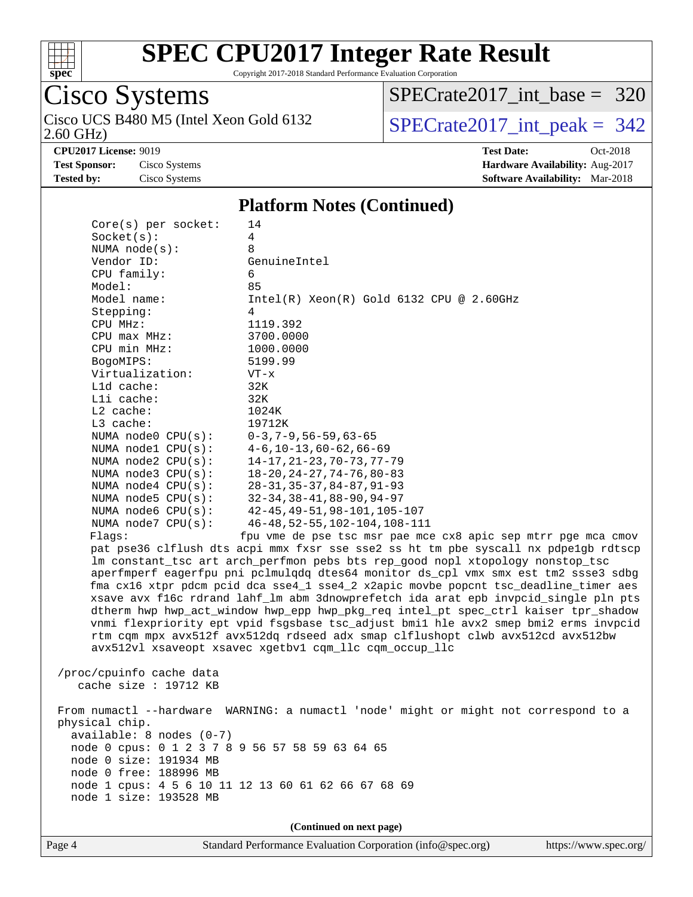

Copyright 2017-2018 Standard Performance Evaluation Corporation

# Cisco Systems<br>Cisco UCS B480 M5 (Intel Xeon Gold 6132

2.60 GHz)

[SPECrate2017\\_int\\_base =](http://www.spec.org/auto/cpu2017/Docs/result-fields.html#SPECrate2017intbase) 320

 $SPECrate2017\_int\_peak = 342$ 

**[CPU2017 License:](http://www.spec.org/auto/cpu2017/Docs/result-fields.html#CPU2017License)** 9019 **[Test Date:](http://www.spec.org/auto/cpu2017/Docs/result-fields.html#TestDate)** Oct-2018

**[Test Sponsor:](http://www.spec.org/auto/cpu2017/Docs/result-fields.html#TestSponsor)** Cisco Systems **[Hardware Availability:](http://www.spec.org/auto/cpu2017/Docs/result-fields.html#HardwareAvailability)** Aug-2017 **[Tested by:](http://www.spec.org/auto/cpu2017/Docs/result-fields.html#Testedby)** Cisco Systems **[Software Availability:](http://www.spec.org/auto/cpu2017/Docs/result-fields.html#SoftwareAvailability)** Mar-2018

#### **[Platform Notes \(Continued\)](http://www.spec.org/auto/cpu2017/Docs/result-fields.html#PlatformNotes)**

| $Core(s)$ per socket:                           | 14                                                                                   |
|-------------------------------------------------|--------------------------------------------------------------------------------------|
| Socket(s):                                      | 4                                                                                    |
| NUMA $node(s):$                                 | 8                                                                                    |
| Vendor ID:                                      | GenuineIntel                                                                         |
| CPU family:                                     | 6                                                                                    |
| Model:                                          | 85                                                                                   |
| Model name:                                     | Intel(R) Xeon(R) Gold 6132 CPU @ 2.60GHz                                             |
| Stepping:                                       | 4                                                                                    |
| CPU MHz:                                        | 1119.392                                                                             |
| CPU max MHz:                                    | 3700.0000                                                                            |
| CPU min MHz:                                    | 1000.0000                                                                            |
| BogoMIPS:                                       | 5199.99                                                                              |
| Virtualization:                                 | $VT - x$                                                                             |
| L1d cache:                                      | 32K                                                                                  |
| Lli cache:                                      | 32K                                                                                  |
| $L2$ cache:                                     | 1024K                                                                                |
| L3 cache:                                       | 19712K                                                                               |
| NUMA node0 CPU(s):                              | $0-3, 7-9, 56-59, 63-65$                                                             |
| NUMA node1 CPU(s):                              | $4-6$ , $10-13$ , $60-62$ , $66-69$                                                  |
| NUMA node2 CPU(s):                              | $14 - 17, 21 - 23, 70 - 73, 77 - 79$                                                 |
| NUMA node3 CPU(s):                              | $18 - 20$ , $24 - 27$ , $74 - 76$ , $80 - 83$                                        |
| NUMA node4 CPU(s):                              | $28 - 31, 35 - 37, 84 - 87, 91 - 93$                                                 |
| NUMA $node5$ $CPU(s):$                          | $32 - 34, 38 - 41, 88 - 90, 94 - 97$                                                 |
| NUMA node6 CPU(s):                              | $42 - 45, 49 - 51, 98 - 101, 105 - 107$                                              |
| NUMA node7 CPU(s):                              | 46-48, 52-55, 102-104, 108-111                                                       |
| Flaqs:                                          | fpu vme de pse tsc msr pae mce cx8 apic sep mtrr pge mca cmov                        |
|                                                 | pat pse36 clflush dts acpi mmx fxsr sse sse2 ss ht tm pbe syscall nx pdpelgb rdtscp  |
|                                                 | lm constant_tsc art arch_perfmon pebs bts rep_good nopl xtopology nonstop_tsc        |
|                                                 | aperfmperf eagerfpu pni pclmulqdq dtes64 monitor ds_cpl vmx smx est tm2 ssse3 sdbg   |
|                                                 | fma cx16 xtpr pdcm pcid dca sse4_1 sse4_2 x2apic movbe popcnt tsc_deadline_timer aes |
|                                                 | xsave avx f16c rdrand lahf_lm abm 3dnowprefetch ida arat epb invpcid_single pln pts  |
|                                                 | dtherm hwp hwp_act_window hwp_epp hwp_pkg_req intel_pt spec_ctrl kaiser tpr_shadow   |
|                                                 | vnmi flexpriority ept vpid fsgsbase tsc_adjust bmil hle avx2 smep bmi2 erms invpcid  |
|                                                 | rtm cqm mpx avx512f avx512dq rdseed adx smap clflushopt clwb avx512cd avx512bw       |
|                                                 | avx512vl xsaveopt xsavec xgetbv1 cqm_llc cqm_occup_llc                               |
|                                                 |                                                                                      |
| /proc/cpuinfo cache data                        |                                                                                      |
| cache size : $19712$ KB                         |                                                                                      |
|                                                 |                                                                                      |
|                                                 | From numactl --hardware WARNING: a numactl 'node' might or might not correspond to a |
| physical chip.<br>$available: 8 nodes (0-7)$    |                                                                                      |
| node 0 cpus: 0 1 2 3 7 8 9 56 57 58 59 63 64 65 |                                                                                      |
| node 0 size: 191934 MB                          |                                                                                      |
| node 0 free: 188996 MB                          |                                                                                      |
|                                                 | node 1 cpus: 4 5 6 10 11 12 13 60 61 62 66 67 68 69                                  |
| node 1 size: 193528 MB                          |                                                                                      |
|                                                 |                                                                                      |
|                                                 |                                                                                      |
|                                                 | (Continued on next page)                                                             |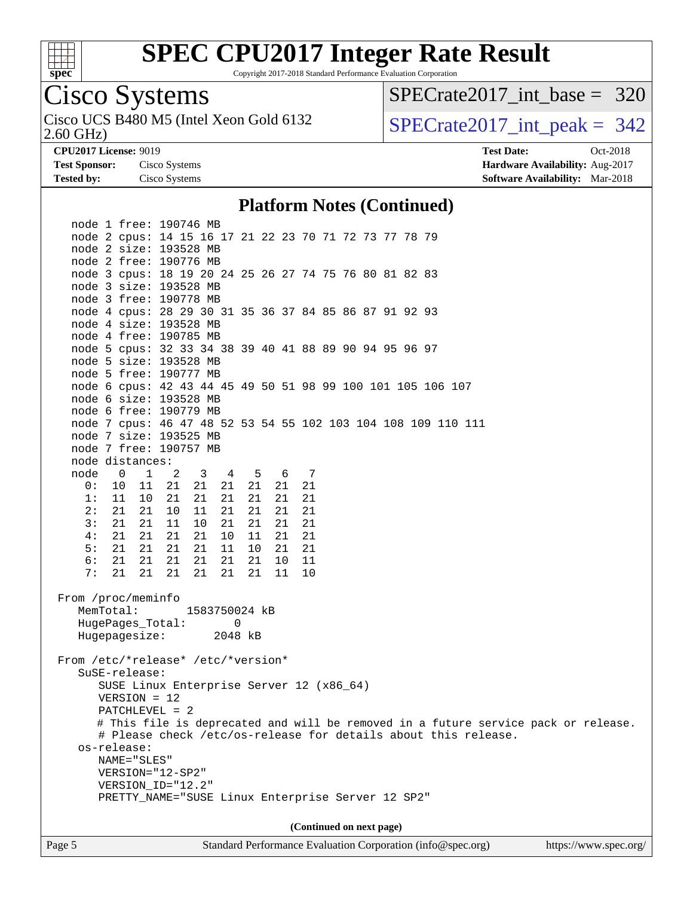

Copyright 2017-2018 Standard Performance Evaluation Corporation

### Cisco Systems

2.60 GHz) Cisco UCS B480 M5 (Intel Xeon Gold 6132  $\vert$  [SPECrate2017\\_int\\_peak =](http://www.spec.org/auto/cpu2017/Docs/result-fields.html#SPECrate2017intpeak) 342

[SPECrate2017\\_int\\_base =](http://www.spec.org/auto/cpu2017/Docs/result-fields.html#SPECrate2017intbase) 320

**[CPU2017 License:](http://www.spec.org/auto/cpu2017/Docs/result-fields.html#CPU2017License)** 9019 **[Test Date:](http://www.spec.org/auto/cpu2017/Docs/result-fields.html#TestDate)** Oct-2018 **[Test Sponsor:](http://www.spec.org/auto/cpu2017/Docs/result-fields.html#TestSponsor)** Cisco Systems **[Hardware Availability:](http://www.spec.org/auto/cpu2017/Docs/result-fields.html#HardwareAvailability)** Aug-2017 **[Tested by:](http://www.spec.org/auto/cpu2017/Docs/result-fields.html#Testedby)** Cisco Systems **[Software Availability:](http://www.spec.org/auto/cpu2017/Docs/result-fields.html#SoftwareAvailability)** Mar-2018

#### **[Platform Notes \(Continued\)](http://www.spec.org/auto/cpu2017/Docs/result-fields.html#PlatformNotes)**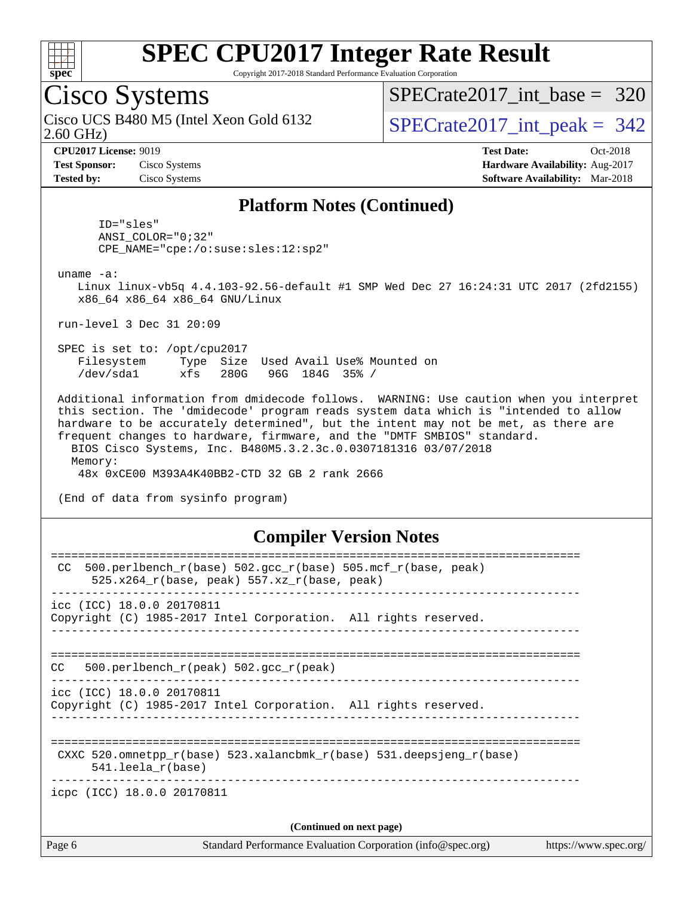

Copyright 2017-2018 Standard Performance Evaluation Corporation

### Cisco Systems

2.60 GHz) Cisco UCS B480 M5 (Intel Xeon Gold 6132  $\vert$  [SPECrate2017\\_int\\_peak =](http://www.spec.org/auto/cpu2017/Docs/result-fields.html#SPECrate2017intpeak) 342

[SPECrate2017\\_int\\_base =](http://www.spec.org/auto/cpu2017/Docs/result-fields.html#SPECrate2017intbase) 320

**[Test Sponsor:](http://www.spec.org/auto/cpu2017/Docs/result-fields.html#TestSponsor)** Cisco Systems **[Hardware Availability:](http://www.spec.org/auto/cpu2017/Docs/result-fields.html#HardwareAvailability)** Aug-2017

**[CPU2017 License:](http://www.spec.org/auto/cpu2017/Docs/result-fields.html#CPU2017License)** 9019 **[Test Date:](http://www.spec.org/auto/cpu2017/Docs/result-fields.html#TestDate)** Oct-2018 **[Tested by:](http://www.spec.org/auto/cpu2017/Docs/result-fields.html#Testedby)** Cisco Systems **[Software Availability:](http://www.spec.org/auto/cpu2017/Docs/result-fields.html#SoftwareAvailability)** Mar-2018

#### **[Platform Notes \(Continued\)](http://www.spec.org/auto/cpu2017/Docs/result-fields.html#PlatformNotes)**

 ID="sles" ANSI\_COLOR="0;32" CPE\_NAME="cpe:/o:suse:sles:12:sp2"

uname -a:

 Linux linux-vb5q 4.4.103-92.56-default #1 SMP Wed Dec 27 16:24:31 UTC 2017 (2fd2155) x86\_64 x86\_64 x86\_64 GNU/Linux

run-level 3 Dec 31 20:09

 SPEC is set to: /opt/cpu2017 Filesystem Type Size Used Avail Use% Mounted on /dev/sda1 xfs 280G 96G 184G 35% /

 Additional information from dmidecode follows. WARNING: Use caution when you interpret this section. The 'dmidecode' program reads system data which is "intended to allow hardware to be accurately determined", but the intent may not be met, as there are frequent changes to hardware, firmware, and the "DMTF SMBIOS" standard. BIOS Cisco Systems, Inc. B480M5.3.2.3c.0.0307181316 03/07/2018 Memory:

48x 0xCE00 M393A4K40BB2-CTD 32 GB 2 rank 2666

(End of data from sysinfo program)

#### **[Compiler Version Notes](http://www.spec.org/auto/cpu2017/Docs/result-fields.html#CompilerVersionNotes)**

| Page 6                     | Standard Performance Evaluation Corporation (info@spec.org)                                                        | https://www.spec.org/ |
|----------------------------|--------------------------------------------------------------------------------------------------------------------|-----------------------|
|                            | (Continued on next page)                                                                                           |                       |
| icpc (ICC) 18.0.0 20170811 |                                                                                                                    |                       |
| $541.$ leela r(base)       | CXXC 520.omnetpp $r(base)$ 523.xalancbmk $r(base)$ 531.deepsjeng $r(base)$                                         |                       |
| icc (ICC) 18.0.0 20170811  | Copyright (C) 1985-2017 Intel Corporation. All rights reserved.                                                    |                       |
| CC.                        | 500.perlbench $r(\text{peak})$ 502.gcc $r(\text{peak})$                                                            |                       |
| icc (ICC) 18.0.0 20170811  | Copyright (C) 1985-2017 Intel Corporation. All rights reserved.<br>---------------------------------               |                       |
| CC.                        | $500. perlbench_r(base) 502. gcc_r(base) 505.mcf_r(base, peak)$<br>525.x264 $r(base, peak)$ 557.xz $r(base, peak)$ |                       |
|                            |                                                                                                                    |                       |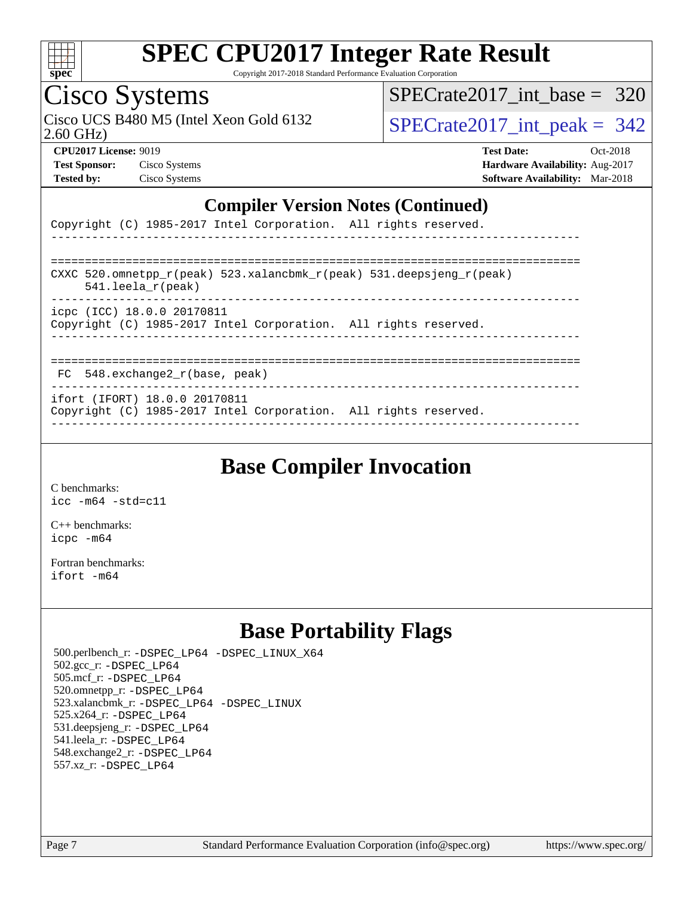

Copyright 2017-2018 Standard Performance Evaluation Corporation

# Cisco Systems<br>Cisco UCS B480 M5 (Intel Xeon Gold 6132

2.60 GHz)

[SPECrate2017\\_int\\_base =](http://www.spec.org/auto/cpu2017/Docs/result-fields.html#SPECrate2017intbase) 320

 $SPECTate 2017\_int\_peak = 342$ 

**[Test Sponsor:](http://www.spec.org/auto/cpu2017/Docs/result-fields.html#TestSponsor)** Cisco Systems **[Hardware Availability:](http://www.spec.org/auto/cpu2017/Docs/result-fields.html#HardwareAvailability)** Aug-2017

**[CPU2017 License:](http://www.spec.org/auto/cpu2017/Docs/result-fields.html#CPU2017License)** 9019 **[Test Date:](http://www.spec.org/auto/cpu2017/Docs/result-fields.html#TestDate)** Oct-2018 **[Tested by:](http://www.spec.org/auto/cpu2017/Docs/result-fields.html#Testedby)** Cisco Systems **[Software Availability:](http://www.spec.org/auto/cpu2017/Docs/result-fields.html#SoftwareAvailability)** Mar-2018

#### **[Compiler Version Notes \(Continued\)](http://www.spec.org/auto/cpu2017/Docs/result-fields.html#CompilerVersionNotes)**

|  |  | Copyright (C) 1985-2017 Intel Corporation. All rights reserved. |  |  |
|--|--|-----------------------------------------------------------------|--|--|
|  |  |                                                                 |  |  |

| CXXC 520.omnetpp $r(\text{peak})$ 523.xalancbmk $r(\text{peak})$ 531.deepsjeng $r(\text{peak})$ |
|-------------------------------------------------------------------------------------------------|
| $541.$ leela r(peak)                                                                            |
| icpc (ICC) 18.0.0 20170811<br>Copyright (C) 1985-2017 Intel Corporation. All rights reserved.   |
|                                                                                                 |

FC 548.exchange2\_r(base, peak)

----------------------------------------------------------------------------- ifort (IFORT) 18.0.0 20170811

Copyright (C) 1985-2017 Intel Corporation. All rights reserved. ------------------------------------------------------------------------------

### **[Base Compiler Invocation](http://www.spec.org/auto/cpu2017/Docs/result-fields.html#BaseCompilerInvocation)**

[C benchmarks](http://www.spec.org/auto/cpu2017/Docs/result-fields.html#Cbenchmarks): [icc -m64 -std=c11](http://www.spec.org/cpu2017/results/res2018q4/cpu2017-20181030-09436.flags.html#user_CCbase_intel_icc_64bit_c11_33ee0cdaae7deeeab2a9725423ba97205ce30f63b9926c2519791662299b76a0318f32ddfffdc46587804de3178b4f9328c46fa7c2b0cd779d7a61945c91cd35)

[C++ benchmarks:](http://www.spec.org/auto/cpu2017/Docs/result-fields.html#CXXbenchmarks) [icpc -m64](http://www.spec.org/cpu2017/results/res2018q4/cpu2017-20181030-09436.flags.html#user_CXXbase_intel_icpc_64bit_4ecb2543ae3f1412ef961e0650ca070fec7b7afdcd6ed48761b84423119d1bf6bdf5cad15b44d48e7256388bc77273b966e5eb805aefd121eb22e9299b2ec9d9)

[Fortran benchmarks](http://www.spec.org/auto/cpu2017/Docs/result-fields.html#Fortranbenchmarks): [ifort -m64](http://www.spec.org/cpu2017/results/res2018q4/cpu2017-20181030-09436.flags.html#user_FCbase_intel_ifort_64bit_24f2bb282fbaeffd6157abe4f878425411749daecae9a33200eee2bee2fe76f3b89351d69a8130dd5949958ce389cf37ff59a95e7a40d588e8d3a57e0c3fd751)

### **[Base Portability Flags](http://www.spec.org/auto/cpu2017/Docs/result-fields.html#BasePortabilityFlags)**

 500.perlbench\_r: [-DSPEC\\_LP64](http://www.spec.org/cpu2017/results/res2018q4/cpu2017-20181030-09436.flags.html#b500.perlbench_r_basePORTABILITY_DSPEC_LP64) [-DSPEC\\_LINUX\\_X64](http://www.spec.org/cpu2017/results/res2018q4/cpu2017-20181030-09436.flags.html#b500.perlbench_r_baseCPORTABILITY_DSPEC_LINUX_X64) 502.gcc\_r: [-DSPEC\\_LP64](http://www.spec.org/cpu2017/results/res2018q4/cpu2017-20181030-09436.flags.html#suite_basePORTABILITY502_gcc_r_DSPEC_LP64) 505.mcf\_r: [-DSPEC\\_LP64](http://www.spec.org/cpu2017/results/res2018q4/cpu2017-20181030-09436.flags.html#suite_basePORTABILITY505_mcf_r_DSPEC_LP64) 520.omnetpp\_r: [-DSPEC\\_LP64](http://www.spec.org/cpu2017/results/res2018q4/cpu2017-20181030-09436.flags.html#suite_basePORTABILITY520_omnetpp_r_DSPEC_LP64) 523.xalancbmk\_r: [-DSPEC\\_LP64](http://www.spec.org/cpu2017/results/res2018q4/cpu2017-20181030-09436.flags.html#suite_basePORTABILITY523_xalancbmk_r_DSPEC_LP64) [-DSPEC\\_LINUX](http://www.spec.org/cpu2017/results/res2018q4/cpu2017-20181030-09436.flags.html#b523.xalancbmk_r_baseCXXPORTABILITY_DSPEC_LINUX) 525.x264\_r: [-DSPEC\\_LP64](http://www.spec.org/cpu2017/results/res2018q4/cpu2017-20181030-09436.flags.html#suite_basePORTABILITY525_x264_r_DSPEC_LP64) 531.deepsjeng\_r: [-DSPEC\\_LP64](http://www.spec.org/cpu2017/results/res2018q4/cpu2017-20181030-09436.flags.html#suite_basePORTABILITY531_deepsjeng_r_DSPEC_LP64) 541.leela\_r: [-DSPEC\\_LP64](http://www.spec.org/cpu2017/results/res2018q4/cpu2017-20181030-09436.flags.html#suite_basePORTABILITY541_leela_r_DSPEC_LP64) 548.exchange2\_r: [-DSPEC\\_LP64](http://www.spec.org/cpu2017/results/res2018q4/cpu2017-20181030-09436.flags.html#suite_basePORTABILITY548_exchange2_r_DSPEC_LP64) 557.xz\_r: [-DSPEC\\_LP64](http://www.spec.org/cpu2017/results/res2018q4/cpu2017-20181030-09436.flags.html#suite_basePORTABILITY557_xz_r_DSPEC_LP64)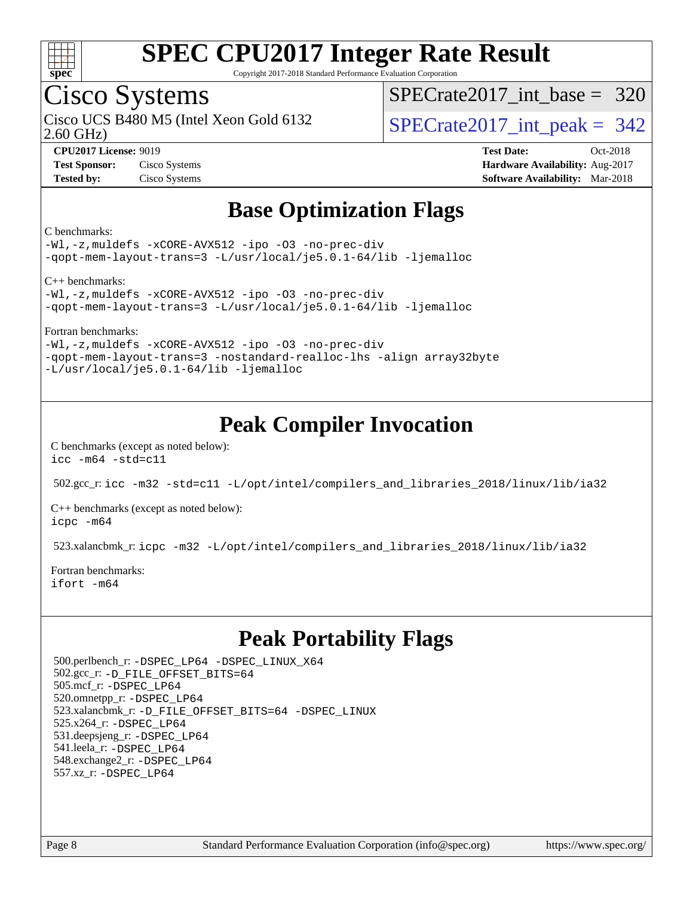

Copyright 2017-2018 Standard Performance Evaluation Corporation

### Cisco Systems

2.60 GHz) Cisco UCS B480 M5 (Intel Xeon Gold 6132  $\vert$  [SPECrate2017\\_int\\_peak =](http://www.spec.org/auto/cpu2017/Docs/result-fields.html#SPECrate2017intpeak) 342

[SPECrate2017\\_int\\_base =](http://www.spec.org/auto/cpu2017/Docs/result-fields.html#SPECrate2017intbase) 320

**[CPU2017 License:](http://www.spec.org/auto/cpu2017/Docs/result-fields.html#CPU2017License)** 9019 **[Test Date:](http://www.spec.org/auto/cpu2017/Docs/result-fields.html#TestDate)** Oct-2018 **[Test Sponsor:](http://www.spec.org/auto/cpu2017/Docs/result-fields.html#TestSponsor)** Cisco Systems **[Hardware Availability:](http://www.spec.org/auto/cpu2017/Docs/result-fields.html#HardwareAvailability)** Aug-2017 **[Tested by:](http://www.spec.org/auto/cpu2017/Docs/result-fields.html#Testedby)** Cisco Systems **[Software Availability:](http://www.spec.org/auto/cpu2017/Docs/result-fields.html#SoftwareAvailability)** Mar-2018

### **[Base Optimization Flags](http://www.spec.org/auto/cpu2017/Docs/result-fields.html#BaseOptimizationFlags)**

[C benchmarks:](http://www.spec.org/auto/cpu2017/Docs/result-fields.html#Cbenchmarks)

[-Wl,-z,muldefs](http://www.spec.org/cpu2017/results/res2018q4/cpu2017-20181030-09436.flags.html#user_CCbase_link_force_multiple1_b4cbdb97b34bdee9ceefcfe54f4c8ea74255f0b02a4b23e853cdb0e18eb4525ac79b5a88067c842dd0ee6996c24547a27a4b99331201badda8798ef8a743f577) [-xCORE-AVX512](http://www.spec.org/cpu2017/results/res2018q4/cpu2017-20181030-09436.flags.html#user_CCbase_f-xCORE-AVX512) [-ipo](http://www.spec.org/cpu2017/results/res2018q4/cpu2017-20181030-09436.flags.html#user_CCbase_f-ipo) [-O3](http://www.spec.org/cpu2017/results/res2018q4/cpu2017-20181030-09436.flags.html#user_CCbase_f-O3) [-no-prec-div](http://www.spec.org/cpu2017/results/res2018q4/cpu2017-20181030-09436.flags.html#user_CCbase_f-no-prec-div) [-qopt-mem-layout-trans=3](http://www.spec.org/cpu2017/results/res2018q4/cpu2017-20181030-09436.flags.html#user_CCbase_f-qopt-mem-layout-trans_de80db37974c74b1f0e20d883f0b675c88c3b01e9d123adea9b28688d64333345fb62bc4a798493513fdb68f60282f9a726aa07f478b2f7113531aecce732043) [-L/usr/local/je5.0.1-64/lib](http://www.spec.org/cpu2017/results/res2018q4/cpu2017-20181030-09436.flags.html#user_CCbase_jemalloc_link_path64_4b10a636b7bce113509b17f3bd0d6226c5fb2346b9178c2d0232c14f04ab830f976640479e5c33dc2bcbbdad86ecfb6634cbbd4418746f06f368b512fced5394) [-ljemalloc](http://www.spec.org/cpu2017/results/res2018q4/cpu2017-20181030-09436.flags.html#user_CCbase_jemalloc_link_lib_d1249b907c500fa1c0672f44f562e3d0f79738ae9e3c4a9c376d49f265a04b9c99b167ecedbf6711b3085be911c67ff61f150a17b3472be731631ba4d0471706)

[C++ benchmarks](http://www.spec.org/auto/cpu2017/Docs/result-fields.html#CXXbenchmarks):

[-Wl,-z,muldefs](http://www.spec.org/cpu2017/results/res2018q4/cpu2017-20181030-09436.flags.html#user_CXXbase_link_force_multiple1_b4cbdb97b34bdee9ceefcfe54f4c8ea74255f0b02a4b23e853cdb0e18eb4525ac79b5a88067c842dd0ee6996c24547a27a4b99331201badda8798ef8a743f577) [-xCORE-AVX512](http://www.spec.org/cpu2017/results/res2018q4/cpu2017-20181030-09436.flags.html#user_CXXbase_f-xCORE-AVX512) [-ipo](http://www.spec.org/cpu2017/results/res2018q4/cpu2017-20181030-09436.flags.html#user_CXXbase_f-ipo) [-O3](http://www.spec.org/cpu2017/results/res2018q4/cpu2017-20181030-09436.flags.html#user_CXXbase_f-O3) [-no-prec-div](http://www.spec.org/cpu2017/results/res2018q4/cpu2017-20181030-09436.flags.html#user_CXXbase_f-no-prec-div) [-qopt-mem-layout-trans=3](http://www.spec.org/cpu2017/results/res2018q4/cpu2017-20181030-09436.flags.html#user_CXXbase_f-qopt-mem-layout-trans_de80db37974c74b1f0e20d883f0b675c88c3b01e9d123adea9b28688d64333345fb62bc4a798493513fdb68f60282f9a726aa07f478b2f7113531aecce732043) [-L/usr/local/je5.0.1-64/lib](http://www.spec.org/cpu2017/results/res2018q4/cpu2017-20181030-09436.flags.html#user_CXXbase_jemalloc_link_path64_4b10a636b7bce113509b17f3bd0d6226c5fb2346b9178c2d0232c14f04ab830f976640479e5c33dc2bcbbdad86ecfb6634cbbd4418746f06f368b512fced5394) [-ljemalloc](http://www.spec.org/cpu2017/results/res2018q4/cpu2017-20181030-09436.flags.html#user_CXXbase_jemalloc_link_lib_d1249b907c500fa1c0672f44f562e3d0f79738ae9e3c4a9c376d49f265a04b9c99b167ecedbf6711b3085be911c67ff61f150a17b3472be731631ba4d0471706)

[Fortran benchmarks:](http://www.spec.org/auto/cpu2017/Docs/result-fields.html#Fortranbenchmarks)

[-Wl,-z,muldefs](http://www.spec.org/cpu2017/results/res2018q4/cpu2017-20181030-09436.flags.html#user_FCbase_link_force_multiple1_b4cbdb97b34bdee9ceefcfe54f4c8ea74255f0b02a4b23e853cdb0e18eb4525ac79b5a88067c842dd0ee6996c24547a27a4b99331201badda8798ef8a743f577) [-xCORE-AVX512](http://www.spec.org/cpu2017/results/res2018q4/cpu2017-20181030-09436.flags.html#user_FCbase_f-xCORE-AVX512) [-ipo](http://www.spec.org/cpu2017/results/res2018q4/cpu2017-20181030-09436.flags.html#user_FCbase_f-ipo) [-O3](http://www.spec.org/cpu2017/results/res2018q4/cpu2017-20181030-09436.flags.html#user_FCbase_f-O3) [-no-prec-div](http://www.spec.org/cpu2017/results/res2018q4/cpu2017-20181030-09436.flags.html#user_FCbase_f-no-prec-div) [-qopt-mem-layout-trans=3](http://www.spec.org/cpu2017/results/res2018q4/cpu2017-20181030-09436.flags.html#user_FCbase_f-qopt-mem-layout-trans_de80db37974c74b1f0e20d883f0b675c88c3b01e9d123adea9b28688d64333345fb62bc4a798493513fdb68f60282f9a726aa07f478b2f7113531aecce732043) [-nostandard-realloc-lhs](http://www.spec.org/cpu2017/results/res2018q4/cpu2017-20181030-09436.flags.html#user_FCbase_f_2003_std_realloc_82b4557e90729c0f113870c07e44d33d6f5a304b4f63d4c15d2d0f1fab99f5daaed73bdb9275d9ae411527f28b936061aa8b9c8f2d63842963b95c9dd6426b8a) [-align array32byte](http://www.spec.org/cpu2017/results/res2018q4/cpu2017-20181030-09436.flags.html#user_FCbase_align_array32byte_b982fe038af199962ba9a80c053b8342c548c85b40b8e86eb3cc33dee0d7986a4af373ac2d51c3f7cf710a18d62fdce2948f201cd044323541f22fc0fffc51b6) [-L/usr/local/je5.0.1-64/lib](http://www.spec.org/cpu2017/results/res2018q4/cpu2017-20181030-09436.flags.html#user_FCbase_jemalloc_link_path64_4b10a636b7bce113509b17f3bd0d6226c5fb2346b9178c2d0232c14f04ab830f976640479e5c33dc2bcbbdad86ecfb6634cbbd4418746f06f368b512fced5394) [-ljemalloc](http://www.spec.org/cpu2017/results/res2018q4/cpu2017-20181030-09436.flags.html#user_FCbase_jemalloc_link_lib_d1249b907c500fa1c0672f44f562e3d0f79738ae9e3c4a9c376d49f265a04b9c99b167ecedbf6711b3085be911c67ff61f150a17b3472be731631ba4d0471706)

### **[Peak Compiler Invocation](http://www.spec.org/auto/cpu2017/Docs/result-fields.html#PeakCompilerInvocation)**

[C benchmarks \(except as noted below\)](http://www.spec.org/auto/cpu2017/Docs/result-fields.html#Cbenchmarksexceptasnotedbelow): [icc -m64 -std=c11](http://www.spec.org/cpu2017/results/res2018q4/cpu2017-20181030-09436.flags.html#user_CCpeak_intel_icc_64bit_c11_33ee0cdaae7deeeab2a9725423ba97205ce30f63b9926c2519791662299b76a0318f32ddfffdc46587804de3178b4f9328c46fa7c2b0cd779d7a61945c91cd35)

502.gcc\_r: [icc -m32 -std=c11 -L/opt/intel/compilers\\_and\\_libraries\\_2018/linux/lib/ia32](http://www.spec.org/cpu2017/results/res2018q4/cpu2017-20181030-09436.flags.html#user_peakCCLD502_gcc_r_intel_icc_2aadaa14f62c0e1495cde6f74ba3d875dfbad9f2fd73ceb1e5b66a7d4b19dc13cfe8615ba85624bf35f0c003544b7d55013bf72425d956b559f9a2757f69c910)

[C++ benchmarks \(except as noted below\):](http://www.spec.org/auto/cpu2017/Docs/result-fields.html#CXXbenchmarksexceptasnotedbelow) [icpc -m64](http://www.spec.org/cpu2017/results/res2018q4/cpu2017-20181030-09436.flags.html#user_CXXpeak_intel_icpc_64bit_4ecb2543ae3f1412ef961e0650ca070fec7b7afdcd6ed48761b84423119d1bf6bdf5cad15b44d48e7256388bc77273b966e5eb805aefd121eb22e9299b2ec9d9)

523.xalancbmk\_r: [icpc -m32 -L/opt/intel/compilers\\_and\\_libraries\\_2018/linux/lib/ia32](http://www.spec.org/cpu2017/results/res2018q4/cpu2017-20181030-09436.flags.html#user_peakCXXLD523_xalancbmk_r_intel_icpc_49b8c4a2e52517df5e44233d8730ac3dfca5acbb5ef11df3347e50260a55109134bcb7fd2e543798dfd93e66566a4e08776ad3f7d40a4ff4276870c090f61f0e)

[Fortran benchmarks](http://www.spec.org/auto/cpu2017/Docs/result-fields.html#Fortranbenchmarks): [ifort -m64](http://www.spec.org/cpu2017/results/res2018q4/cpu2017-20181030-09436.flags.html#user_FCpeak_intel_ifort_64bit_24f2bb282fbaeffd6157abe4f878425411749daecae9a33200eee2bee2fe76f3b89351d69a8130dd5949958ce389cf37ff59a95e7a40d588e8d3a57e0c3fd751)

### **[Peak Portability Flags](http://www.spec.org/auto/cpu2017/Docs/result-fields.html#PeakPortabilityFlags)**

 500.perlbench\_r: [-DSPEC\\_LP64](http://www.spec.org/cpu2017/results/res2018q4/cpu2017-20181030-09436.flags.html#b500.perlbench_r_peakPORTABILITY_DSPEC_LP64) [-DSPEC\\_LINUX\\_X64](http://www.spec.org/cpu2017/results/res2018q4/cpu2017-20181030-09436.flags.html#b500.perlbench_r_peakCPORTABILITY_DSPEC_LINUX_X64) 502.gcc\_r: [-D\\_FILE\\_OFFSET\\_BITS=64](http://www.spec.org/cpu2017/results/res2018q4/cpu2017-20181030-09436.flags.html#user_peakPORTABILITY502_gcc_r_file_offset_bits_64_5ae949a99b284ddf4e95728d47cb0843d81b2eb0e18bdfe74bbf0f61d0b064f4bda2f10ea5eb90e1dcab0e84dbc592acfc5018bc955c18609f94ddb8d550002c) 505.mcf\_r: [-DSPEC\\_LP64](http://www.spec.org/cpu2017/results/res2018q4/cpu2017-20181030-09436.flags.html#suite_peakPORTABILITY505_mcf_r_DSPEC_LP64) 520.omnetpp\_r: [-DSPEC\\_LP64](http://www.spec.org/cpu2017/results/res2018q4/cpu2017-20181030-09436.flags.html#suite_peakPORTABILITY520_omnetpp_r_DSPEC_LP64) 523.xalancbmk\_r: [-D\\_FILE\\_OFFSET\\_BITS=64](http://www.spec.org/cpu2017/results/res2018q4/cpu2017-20181030-09436.flags.html#user_peakPORTABILITY523_xalancbmk_r_file_offset_bits_64_5ae949a99b284ddf4e95728d47cb0843d81b2eb0e18bdfe74bbf0f61d0b064f4bda2f10ea5eb90e1dcab0e84dbc592acfc5018bc955c18609f94ddb8d550002c) [-DSPEC\\_LINUX](http://www.spec.org/cpu2017/results/res2018q4/cpu2017-20181030-09436.flags.html#b523.xalancbmk_r_peakCXXPORTABILITY_DSPEC_LINUX) 525.x264\_r: [-DSPEC\\_LP64](http://www.spec.org/cpu2017/results/res2018q4/cpu2017-20181030-09436.flags.html#suite_peakPORTABILITY525_x264_r_DSPEC_LP64) 531.deepsjeng\_r: [-DSPEC\\_LP64](http://www.spec.org/cpu2017/results/res2018q4/cpu2017-20181030-09436.flags.html#suite_peakPORTABILITY531_deepsjeng_r_DSPEC_LP64) 541.leela\_r: [-DSPEC\\_LP64](http://www.spec.org/cpu2017/results/res2018q4/cpu2017-20181030-09436.flags.html#suite_peakPORTABILITY541_leela_r_DSPEC_LP64) 548.exchange2\_r: [-DSPEC\\_LP64](http://www.spec.org/cpu2017/results/res2018q4/cpu2017-20181030-09436.flags.html#suite_peakPORTABILITY548_exchange2_r_DSPEC_LP64) 557.xz\_r: [-DSPEC\\_LP64](http://www.spec.org/cpu2017/results/res2018q4/cpu2017-20181030-09436.flags.html#suite_peakPORTABILITY557_xz_r_DSPEC_LP64)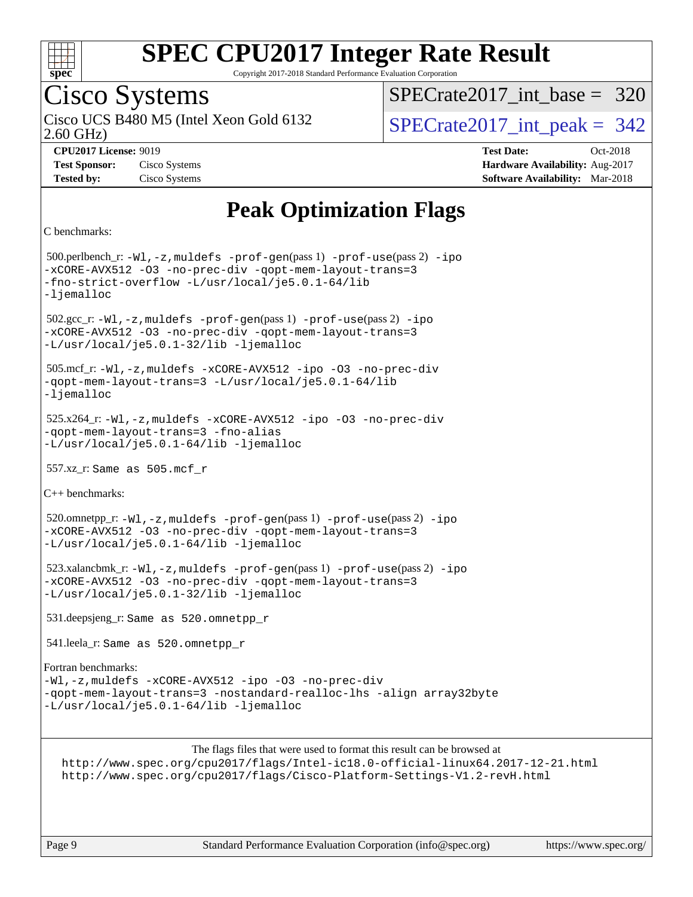

Copyright 2017-2018 Standard Performance Evaluation Corporation

### Cisco Systems

2.60 GHz) Cisco UCS B480 M5 (Intel Xeon Gold 6132  $\vert$  [SPECrate2017\\_int\\_peak =](http://www.spec.org/auto/cpu2017/Docs/result-fields.html#SPECrate2017intpeak) 342

[SPECrate2017\\_int\\_base =](http://www.spec.org/auto/cpu2017/Docs/result-fields.html#SPECrate2017intbase) 320

**[CPU2017 License:](http://www.spec.org/auto/cpu2017/Docs/result-fields.html#CPU2017License)** 9019 **[Test Date:](http://www.spec.org/auto/cpu2017/Docs/result-fields.html#TestDate)** Oct-2018 **[Test Sponsor:](http://www.spec.org/auto/cpu2017/Docs/result-fields.html#TestSponsor)** Cisco Systems **[Hardware Availability:](http://www.spec.org/auto/cpu2017/Docs/result-fields.html#HardwareAvailability)** Aug-2017 **[Tested by:](http://www.spec.org/auto/cpu2017/Docs/result-fields.html#Testedby)** Cisco Systems **[Software Availability:](http://www.spec.org/auto/cpu2017/Docs/result-fields.html#SoftwareAvailability)** Mar-2018

### **[Peak Optimization Flags](http://www.spec.org/auto/cpu2017/Docs/result-fields.html#PeakOptimizationFlags)**

```
C benchmarks:
```
 500.perlbench\_r: [-Wl,-z,muldefs](http://www.spec.org/cpu2017/results/res2018q4/cpu2017-20181030-09436.flags.html#user_peakEXTRA_LDFLAGS500_perlbench_r_link_force_multiple1_b4cbdb97b34bdee9ceefcfe54f4c8ea74255f0b02a4b23e853cdb0e18eb4525ac79b5a88067c842dd0ee6996c24547a27a4b99331201badda8798ef8a743f577) [-prof-gen](http://www.spec.org/cpu2017/results/res2018q4/cpu2017-20181030-09436.flags.html#user_peakPASS1_CFLAGSPASS1_LDFLAGS500_perlbench_r_prof_gen_5aa4926d6013ddb2a31985c654b3eb18169fc0c6952a63635c234f711e6e63dd76e94ad52365559451ec499a2cdb89e4dc58ba4c67ef54ca681ffbe1461d6b36)(pass 1) [-prof-use](http://www.spec.org/cpu2017/results/res2018q4/cpu2017-20181030-09436.flags.html#user_peakPASS2_CFLAGSPASS2_LDFLAGS500_perlbench_r_prof_use_1a21ceae95f36a2b53c25747139a6c16ca95bd9def2a207b4f0849963b97e94f5260e30a0c64f4bb623698870e679ca08317ef8150905d41bd88c6f78df73f19)(pass 2) [-ipo](http://www.spec.org/cpu2017/results/res2018q4/cpu2017-20181030-09436.flags.html#user_peakPASS1_COPTIMIZEPASS2_COPTIMIZE500_perlbench_r_f-ipo) [-xCORE-AVX512](http://www.spec.org/cpu2017/results/res2018q4/cpu2017-20181030-09436.flags.html#user_peakPASS2_COPTIMIZE500_perlbench_r_f-xCORE-AVX512) [-O3](http://www.spec.org/cpu2017/results/res2018q4/cpu2017-20181030-09436.flags.html#user_peakPASS1_COPTIMIZEPASS2_COPTIMIZE500_perlbench_r_f-O3) [-no-prec-div](http://www.spec.org/cpu2017/results/res2018q4/cpu2017-20181030-09436.flags.html#user_peakPASS1_COPTIMIZEPASS2_COPTIMIZE500_perlbench_r_f-no-prec-div) [-qopt-mem-layout-trans=3](http://www.spec.org/cpu2017/results/res2018q4/cpu2017-20181030-09436.flags.html#user_peakPASS1_COPTIMIZEPASS2_COPTIMIZE500_perlbench_r_f-qopt-mem-layout-trans_de80db37974c74b1f0e20d883f0b675c88c3b01e9d123adea9b28688d64333345fb62bc4a798493513fdb68f60282f9a726aa07f478b2f7113531aecce732043) [-fno-strict-overflow](http://www.spec.org/cpu2017/results/res2018q4/cpu2017-20181030-09436.flags.html#user_peakEXTRA_OPTIMIZE500_perlbench_r_f-fno-strict-overflow) [-L/usr/local/je5.0.1-64/lib](http://www.spec.org/cpu2017/results/res2018q4/cpu2017-20181030-09436.flags.html#user_peakEXTRA_LIBS500_perlbench_r_jemalloc_link_path64_4b10a636b7bce113509b17f3bd0d6226c5fb2346b9178c2d0232c14f04ab830f976640479e5c33dc2bcbbdad86ecfb6634cbbd4418746f06f368b512fced5394) [-ljemalloc](http://www.spec.org/cpu2017/results/res2018q4/cpu2017-20181030-09436.flags.html#user_peakEXTRA_LIBS500_perlbench_r_jemalloc_link_lib_d1249b907c500fa1c0672f44f562e3d0f79738ae9e3c4a9c376d49f265a04b9c99b167ecedbf6711b3085be911c67ff61f150a17b3472be731631ba4d0471706) 502.gcc\_r: [-Wl,-z,muldefs](http://www.spec.org/cpu2017/results/res2018q4/cpu2017-20181030-09436.flags.html#user_peakEXTRA_LDFLAGS502_gcc_r_link_force_multiple1_b4cbdb97b34bdee9ceefcfe54f4c8ea74255f0b02a4b23e853cdb0e18eb4525ac79b5a88067c842dd0ee6996c24547a27a4b99331201badda8798ef8a743f577) [-prof-gen](http://www.spec.org/cpu2017/results/res2018q4/cpu2017-20181030-09436.flags.html#user_peakPASS1_CFLAGSPASS1_LDFLAGS502_gcc_r_prof_gen_5aa4926d6013ddb2a31985c654b3eb18169fc0c6952a63635c234f711e6e63dd76e94ad52365559451ec499a2cdb89e4dc58ba4c67ef54ca681ffbe1461d6b36)(pass 1) [-prof-use](http://www.spec.org/cpu2017/results/res2018q4/cpu2017-20181030-09436.flags.html#user_peakPASS2_CFLAGSPASS2_LDFLAGS502_gcc_r_prof_use_1a21ceae95f36a2b53c25747139a6c16ca95bd9def2a207b4f0849963b97e94f5260e30a0c64f4bb623698870e679ca08317ef8150905d41bd88c6f78df73f19)(pass 2) [-ipo](http://www.spec.org/cpu2017/results/res2018q4/cpu2017-20181030-09436.flags.html#user_peakPASS1_COPTIMIZEPASS2_COPTIMIZE502_gcc_r_f-ipo) [-xCORE-AVX512](http://www.spec.org/cpu2017/results/res2018q4/cpu2017-20181030-09436.flags.html#user_peakPASS2_COPTIMIZE502_gcc_r_f-xCORE-AVX512) [-O3](http://www.spec.org/cpu2017/results/res2018q4/cpu2017-20181030-09436.flags.html#user_peakPASS1_COPTIMIZEPASS2_COPTIMIZE502_gcc_r_f-O3) [-no-prec-div](http://www.spec.org/cpu2017/results/res2018q4/cpu2017-20181030-09436.flags.html#user_peakPASS1_COPTIMIZEPASS2_COPTIMIZE502_gcc_r_f-no-prec-div) [-qopt-mem-layout-trans=3](http://www.spec.org/cpu2017/results/res2018q4/cpu2017-20181030-09436.flags.html#user_peakPASS1_COPTIMIZEPASS2_COPTIMIZE502_gcc_r_f-qopt-mem-layout-trans_de80db37974c74b1f0e20d883f0b675c88c3b01e9d123adea9b28688d64333345fb62bc4a798493513fdb68f60282f9a726aa07f478b2f7113531aecce732043) [-L/usr/local/je5.0.1-32/lib](http://www.spec.org/cpu2017/results/res2018q4/cpu2017-20181030-09436.flags.html#user_peakEXTRA_LIBS502_gcc_r_jemalloc_link_path32_e29f22e8e6c17053bbc6a0971f5a9c01a601a06bb1a59df2084b77a2fe0a2995b64fd4256feaeea39eeba3aae142e96e2b2b0a28974019c0c0c88139a84f900a) [-ljemalloc](http://www.spec.org/cpu2017/results/res2018q4/cpu2017-20181030-09436.flags.html#user_peakEXTRA_LIBS502_gcc_r_jemalloc_link_lib_d1249b907c500fa1c0672f44f562e3d0f79738ae9e3c4a9c376d49f265a04b9c99b167ecedbf6711b3085be911c67ff61f150a17b3472be731631ba4d0471706) 505.mcf\_r: [-Wl,-z,muldefs](http://www.spec.org/cpu2017/results/res2018q4/cpu2017-20181030-09436.flags.html#user_peakEXTRA_LDFLAGS505_mcf_r_link_force_multiple1_b4cbdb97b34bdee9ceefcfe54f4c8ea74255f0b02a4b23e853cdb0e18eb4525ac79b5a88067c842dd0ee6996c24547a27a4b99331201badda8798ef8a743f577) [-xCORE-AVX512](http://www.spec.org/cpu2017/results/res2018q4/cpu2017-20181030-09436.flags.html#user_peakCOPTIMIZE505_mcf_r_f-xCORE-AVX512) [-ipo](http://www.spec.org/cpu2017/results/res2018q4/cpu2017-20181030-09436.flags.html#user_peakCOPTIMIZE505_mcf_r_f-ipo) [-O3](http://www.spec.org/cpu2017/results/res2018q4/cpu2017-20181030-09436.flags.html#user_peakCOPTIMIZE505_mcf_r_f-O3) [-no-prec-div](http://www.spec.org/cpu2017/results/res2018q4/cpu2017-20181030-09436.flags.html#user_peakCOPTIMIZE505_mcf_r_f-no-prec-div) [-qopt-mem-layout-trans=3](http://www.spec.org/cpu2017/results/res2018q4/cpu2017-20181030-09436.flags.html#user_peakCOPTIMIZE505_mcf_r_f-qopt-mem-layout-trans_de80db37974c74b1f0e20d883f0b675c88c3b01e9d123adea9b28688d64333345fb62bc4a798493513fdb68f60282f9a726aa07f478b2f7113531aecce732043) [-L/usr/local/je5.0.1-64/lib](http://www.spec.org/cpu2017/results/res2018q4/cpu2017-20181030-09436.flags.html#user_peakEXTRA_LIBS505_mcf_r_jemalloc_link_path64_4b10a636b7bce113509b17f3bd0d6226c5fb2346b9178c2d0232c14f04ab830f976640479e5c33dc2bcbbdad86ecfb6634cbbd4418746f06f368b512fced5394) [-ljemalloc](http://www.spec.org/cpu2017/results/res2018q4/cpu2017-20181030-09436.flags.html#user_peakEXTRA_LIBS505_mcf_r_jemalloc_link_lib_d1249b907c500fa1c0672f44f562e3d0f79738ae9e3c4a9c376d49f265a04b9c99b167ecedbf6711b3085be911c67ff61f150a17b3472be731631ba4d0471706) 525.x264\_r: [-Wl,-z,muldefs](http://www.spec.org/cpu2017/results/res2018q4/cpu2017-20181030-09436.flags.html#user_peakEXTRA_LDFLAGS525_x264_r_link_force_multiple1_b4cbdb97b34bdee9ceefcfe54f4c8ea74255f0b02a4b23e853cdb0e18eb4525ac79b5a88067c842dd0ee6996c24547a27a4b99331201badda8798ef8a743f577) [-xCORE-AVX512](http://www.spec.org/cpu2017/results/res2018q4/cpu2017-20181030-09436.flags.html#user_peakCOPTIMIZE525_x264_r_f-xCORE-AVX512) [-ipo](http://www.spec.org/cpu2017/results/res2018q4/cpu2017-20181030-09436.flags.html#user_peakCOPTIMIZE525_x264_r_f-ipo) [-O3](http://www.spec.org/cpu2017/results/res2018q4/cpu2017-20181030-09436.flags.html#user_peakCOPTIMIZE525_x264_r_f-O3) [-no-prec-div](http://www.spec.org/cpu2017/results/res2018q4/cpu2017-20181030-09436.flags.html#user_peakCOPTIMIZE525_x264_r_f-no-prec-div) [-qopt-mem-layout-trans=3](http://www.spec.org/cpu2017/results/res2018q4/cpu2017-20181030-09436.flags.html#user_peakCOPTIMIZE525_x264_r_f-qopt-mem-layout-trans_de80db37974c74b1f0e20d883f0b675c88c3b01e9d123adea9b28688d64333345fb62bc4a798493513fdb68f60282f9a726aa07f478b2f7113531aecce732043) [-fno-alias](http://www.spec.org/cpu2017/results/res2018q4/cpu2017-20181030-09436.flags.html#user_peakEXTRA_OPTIMIZE525_x264_r_f-no-alias_77dbac10d91cbfe898fbf4a29d1b29b694089caa623bdd1baccc9957d4edbe8d106c0b357e2748a65b44fc9e83d78098bb898077f3fe92f9faf24f7bd4a07ed7) [-L/usr/local/je5.0.1-64/lib](http://www.spec.org/cpu2017/results/res2018q4/cpu2017-20181030-09436.flags.html#user_peakEXTRA_LIBS525_x264_r_jemalloc_link_path64_4b10a636b7bce113509b17f3bd0d6226c5fb2346b9178c2d0232c14f04ab830f976640479e5c33dc2bcbbdad86ecfb6634cbbd4418746f06f368b512fced5394) [-ljemalloc](http://www.spec.org/cpu2017/results/res2018q4/cpu2017-20181030-09436.flags.html#user_peakEXTRA_LIBS525_x264_r_jemalloc_link_lib_d1249b907c500fa1c0672f44f562e3d0f79738ae9e3c4a9c376d49f265a04b9c99b167ecedbf6711b3085be911c67ff61f150a17b3472be731631ba4d0471706) 557.xz\_r: Same as 505.mcf\_r [C++ benchmarks](http://www.spec.org/auto/cpu2017/Docs/result-fields.html#CXXbenchmarks): 520.omnetpp\_r: [-Wl,-z,muldefs](http://www.spec.org/cpu2017/results/res2018q4/cpu2017-20181030-09436.flags.html#user_peakEXTRA_LDFLAGS520_omnetpp_r_link_force_multiple1_b4cbdb97b34bdee9ceefcfe54f4c8ea74255f0b02a4b23e853cdb0e18eb4525ac79b5a88067c842dd0ee6996c24547a27a4b99331201badda8798ef8a743f577) [-prof-gen](http://www.spec.org/cpu2017/results/res2018q4/cpu2017-20181030-09436.flags.html#user_peakPASS1_CXXFLAGSPASS1_LDFLAGS520_omnetpp_r_prof_gen_5aa4926d6013ddb2a31985c654b3eb18169fc0c6952a63635c234f711e6e63dd76e94ad52365559451ec499a2cdb89e4dc58ba4c67ef54ca681ffbe1461d6b36)(pass 1) [-prof-use](http://www.spec.org/cpu2017/results/res2018q4/cpu2017-20181030-09436.flags.html#user_peakPASS2_CXXFLAGSPASS2_LDFLAGS520_omnetpp_r_prof_use_1a21ceae95f36a2b53c25747139a6c16ca95bd9def2a207b4f0849963b97e94f5260e30a0c64f4bb623698870e679ca08317ef8150905d41bd88c6f78df73f19)(pass 2) [-ipo](http://www.spec.org/cpu2017/results/res2018q4/cpu2017-20181030-09436.flags.html#user_peakPASS1_CXXOPTIMIZEPASS2_CXXOPTIMIZE520_omnetpp_r_f-ipo) [-xCORE-AVX512](http://www.spec.org/cpu2017/results/res2018q4/cpu2017-20181030-09436.flags.html#user_peakPASS2_CXXOPTIMIZE520_omnetpp_r_f-xCORE-AVX512) [-O3](http://www.spec.org/cpu2017/results/res2018q4/cpu2017-20181030-09436.flags.html#user_peakPASS1_CXXOPTIMIZEPASS2_CXXOPTIMIZE520_omnetpp_r_f-O3) [-no-prec-div](http://www.spec.org/cpu2017/results/res2018q4/cpu2017-20181030-09436.flags.html#user_peakPASS1_CXXOPTIMIZEPASS2_CXXOPTIMIZE520_omnetpp_r_f-no-prec-div) [-qopt-mem-layout-trans=3](http://www.spec.org/cpu2017/results/res2018q4/cpu2017-20181030-09436.flags.html#user_peakPASS1_CXXOPTIMIZEPASS2_CXXOPTIMIZE520_omnetpp_r_f-qopt-mem-layout-trans_de80db37974c74b1f0e20d883f0b675c88c3b01e9d123adea9b28688d64333345fb62bc4a798493513fdb68f60282f9a726aa07f478b2f7113531aecce732043) [-L/usr/local/je5.0.1-64/lib](http://www.spec.org/cpu2017/results/res2018q4/cpu2017-20181030-09436.flags.html#user_peakEXTRA_LIBS520_omnetpp_r_jemalloc_link_path64_4b10a636b7bce113509b17f3bd0d6226c5fb2346b9178c2d0232c14f04ab830f976640479e5c33dc2bcbbdad86ecfb6634cbbd4418746f06f368b512fced5394) [-ljemalloc](http://www.spec.org/cpu2017/results/res2018q4/cpu2017-20181030-09436.flags.html#user_peakEXTRA_LIBS520_omnetpp_r_jemalloc_link_lib_d1249b907c500fa1c0672f44f562e3d0f79738ae9e3c4a9c376d49f265a04b9c99b167ecedbf6711b3085be911c67ff61f150a17b3472be731631ba4d0471706) 523.xalancbmk\_r: [-Wl,-z,muldefs](http://www.spec.org/cpu2017/results/res2018q4/cpu2017-20181030-09436.flags.html#user_peakEXTRA_LDFLAGS523_xalancbmk_r_link_force_multiple1_b4cbdb97b34bdee9ceefcfe54f4c8ea74255f0b02a4b23e853cdb0e18eb4525ac79b5a88067c842dd0ee6996c24547a27a4b99331201badda8798ef8a743f577) [-prof-gen](http://www.spec.org/cpu2017/results/res2018q4/cpu2017-20181030-09436.flags.html#user_peakPASS1_CXXFLAGSPASS1_LDFLAGS523_xalancbmk_r_prof_gen_5aa4926d6013ddb2a31985c654b3eb18169fc0c6952a63635c234f711e6e63dd76e94ad52365559451ec499a2cdb89e4dc58ba4c67ef54ca681ffbe1461d6b36)(pass 1) [-prof-use](http://www.spec.org/cpu2017/results/res2018q4/cpu2017-20181030-09436.flags.html#user_peakPASS2_CXXFLAGSPASS2_LDFLAGS523_xalancbmk_r_prof_use_1a21ceae95f36a2b53c25747139a6c16ca95bd9def2a207b4f0849963b97e94f5260e30a0c64f4bb623698870e679ca08317ef8150905d41bd88c6f78df73f19)(pass 2) [-ipo](http://www.spec.org/cpu2017/results/res2018q4/cpu2017-20181030-09436.flags.html#user_peakPASS1_CXXOPTIMIZEPASS2_CXXOPTIMIZE523_xalancbmk_r_f-ipo) [-xCORE-AVX512](http://www.spec.org/cpu2017/results/res2018q4/cpu2017-20181030-09436.flags.html#user_peakPASS2_CXXOPTIMIZE523_xalancbmk_r_f-xCORE-AVX512) [-O3](http://www.spec.org/cpu2017/results/res2018q4/cpu2017-20181030-09436.flags.html#user_peakPASS1_CXXOPTIMIZEPASS2_CXXOPTIMIZE523_xalancbmk_r_f-O3) [-no-prec-div](http://www.spec.org/cpu2017/results/res2018q4/cpu2017-20181030-09436.flags.html#user_peakPASS1_CXXOPTIMIZEPASS2_CXXOPTIMIZE523_xalancbmk_r_f-no-prec-div) [-qopt-mem-layout-trans=3](http://www.spec.org/cpu2017/results/res2018q4/cpu2017-20181030-09436.flags.html#user_peakPASS1_CXXOPTIMIZEPASS2_CXXOPTIMIZE523_xalancbmk_r_f-qopt-mem-layout-trans_de80db37974c74b1f0e20d883f0b675c88c3b01e9d123adea9b28688d64333345fb62bc4a798493513fdb68f60282f9a726aa07f478b2f7113531aecce732043) [-L/usr/local/je5.0.1-32/lib](http://www.spec.org/cpu2017/results/res2018q4/cpu2017-20181030-09436.flags.html#user_peakEXTRA_LIBS523_xalancbmk_r_jemalloc_link_path32_e29f22e8e6c17053bbc6a0971f5a9c01a601a06bb1a59df2084b77a2fe0a2995b64fd4256feaeea39eeba3aae142e96e2b2b0a28974019c0c0c88139a84f900a) [-ljemalloc](http://www.spec.org/cpu2017/results/res2018q4/cpu2017-20181030-09436.flags.html#user_peakEXTRA_LIBS523_xalancbmk_r_jemalloc_link_lib_d1249b907c500fa1c0672f44f562e3d0f79738ae9e3c4a9c376d49f265a04b9c99b167ecedbf6711b3085be911c67ff61f150a17b3472be731631ba4d0471706) 531.deepsjeng\_r: Same as 520.omnetpp\_r 541.leela\_r: Same as 520.omnetpp\_r [Fortran benchmarks:](http://www.spec.org/auto/cpu2017/Docs/result-fields.html#Fortranbenchmarks) [-Wl,-z,muldefs](http://www.spec.org/cpu2017/results/res2018q4/cpu2017-20181030-09436.flags.html#user_FCpeak_link_force_multiple1_b4cbdb97b34bdee9ceefcfe54f4c8ea74255f0b02a4b23e853cdb0e18eb4525ac79b5a88067c842dd0ee6996c24547a27a4b99331201badda8798ef8a743f577) [-xCORE-AVX512](http://www.spec.org/cpu2017/results/res2018q4/cpu2017-20181030-09436.flags.html#user_FCpeak_f-xCORE-AVX512) [-ipo](http://www.spec.org/cpu2017/results/res2018q4/cpu2017-20181030-09436.flags.html#user_FCpeak_f-ipo) [-O3](http://www.spec.org/cpu2017/results/res2018q4/cpu2017-20181030-09436.flags.html#user_FCpeak_f-O3) [-no-prec-div](http://www.spec.org/cpu2017/results/res2018q4/cpu2017-20181030-09436.flags.html#user_FCpeak_f-no-prec-div) [-qopt-mem-layout-trans=3](http://www.spec.org/cpu2017/results/res2018q4/cpu2017-20181030-09436.flags.html#user_FCpeak_f-qopt-mem-layout-trans_de80db37974c74b1f0e20d883f0b675c88c3b01e9d123adea9b28688d64333345fb62bc4a798493513fdb68f60282f9a726aa07f478b2f7113531aecce732043) [-nostandard-realloc-lhs](http://www.spec.org/cpu2017/results/res2018q4/cpu2017-20181030-09436.flags.html#user_FCpeak_f_2003_std_realloc_82b4557e90729c0f113870c07e44d33d6f5a304b4f63d4c15d2d0f1fab99f5daaed73bdb9275d9ae411527f28b936061aa8b9c8f2d63842963b95c9dd6426b8a) [-align array32byte](http://www.spec.org/cpu2017/results/res2018q4/cpu2017-20181030-09436.flags.html#user_FCpeak_align_array32byte_b982fe038af199962ba9a80c053b8342c548c85b40b8e86eb3cc33dee0d7986a4af373ac2d51c3f7cf710a18d62fdce2948f201cd044323541f22fc0fffc51b6) [-L/usr/local/je5.0.1-64/lib](http://www.spec.org/cpu2017/results/res2018q4/cpu2017-20181030-09436.flags.html#user_FCpeak_jemalloc_link_path64_4b10a636b7bce113509b17f3bd0d6226c5fb2346b9178c2d0232c14f04ab830f976640479e5c33dc2bcbbdad86ecfb6634cbbd4418746f06f368b512fced5394) [-ljemalloc](http://www.spec.org/cpu2017/results/res2018q4/cpu2017-20181030-09436.flags.html#user_FCpeak_jemalloc_link_lib_d1249b907c500fa1c0672f44f562e3d0f79738ae9e3c4a9c376d49f265a04b9c99b167ecedbf6711b3085be911c67ff61f150a17b3472be731631ba4d0471706)

The flags files that were used to format this result can be browsed at

<http://www.spec.org/cpu2017/flags/Intel-ic18.0-official-linux64.2017-12-21.html> <http://www.spec.org/cpu2017/flags/Cisco-Platform-Settings-V1.2-revH.html>